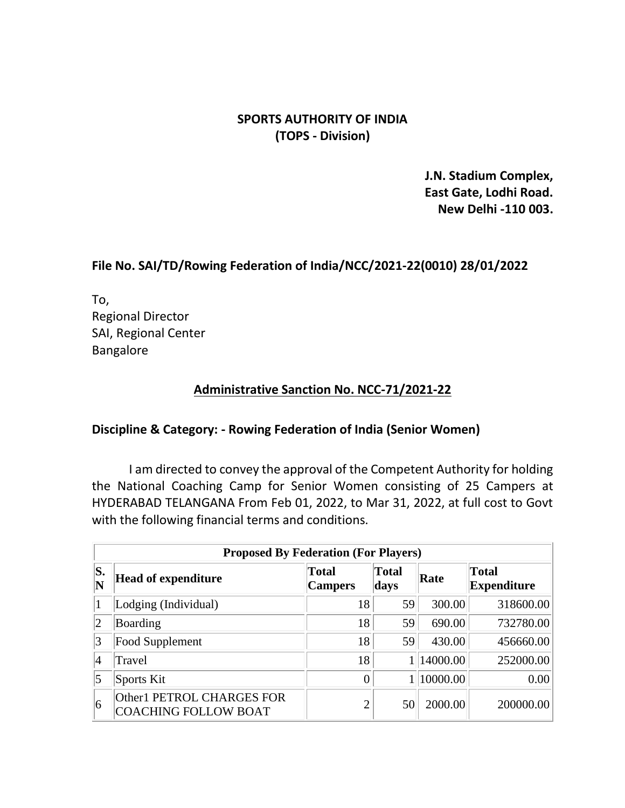# **SPORTS AUTHORITY OF INDIA (TOPS - Division)**

**J.N. Stadium Complex, East Gate, Lodhi Road. New Delhi -110 003.**

# **File No. SAI/TD/Rowing Federation of India/NCC/2021-22(0010) 28/01/2022**

To, Regional Director SAI, Regional Center Bangalore

# **Administrative Sanction No. NCC-71/2021-22**

### **Discipline & Category: - Rowing Federation of India (Senior Women)**

 I am directed to convey the approval of the Competent Authority for holding the National Coaching Camp for Senior Women consisting of 25 Campers at HYDERABAD TELANGANA From Feb 01, 2022, to Mar 31, 2022, at full cost to Govt with the following financial terms and conditions.

|                               | <b>Proposed By Federation (For Players)</b>              |                                |                      |            |                                    |
|-------------------------------|----------------------------------------------------------|--------------------------------|----------------------|------------|------------------------------------|
| S.<br>$\overline{\mathbf{N}}$ | <b>Head of expenditure</b>                               | <b>Total</b><br><b>Campers</b> | <b>Total</b><br>days | Rate       | <b>Total</b><br><b>Expenditure</b> |
|                               | Lodging (Individual)                                     | 18                             | 59                   | 300.00     | 318600.00                          |
| $ 2 \>$                       | Boarding                                                 | 18                             | 59                   | 690.00     | 732780.00                          |
| 3                             | Food Supplement                                          | 18                             | 59                   | 430.00     | 456660.00                          |
| 4                             | Travel                                                   | 18                             |                      | 1 14000.00 | 252000.00                          |
| 5                             | Sports Kit                                               | $\overline{0}$                 |                      | 1 10000.00 | 0.00                               |
| 6                             | Other1 PETROL CHARGES FOR<br><b>COACHING FOLLOW BOAT</b> | $\overline{2}$                 | 50                   | 2000.00    | 200000.00                          |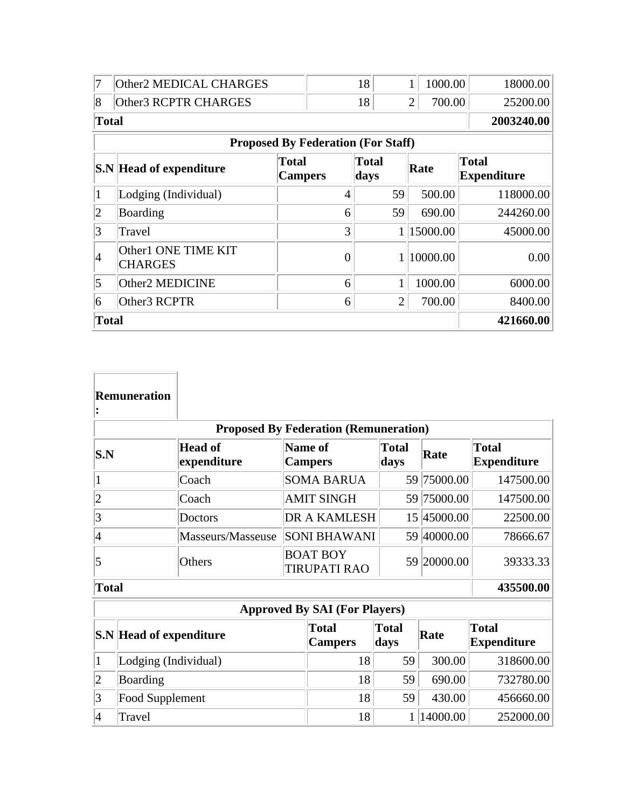| 7               | Other2 MEDICAL CHARGES                    |                                |                | 18                   |                | 1              | 1000.00  |                                    | 18000.00   |
|-----------------|-------------------------------------------|--------------------------------|----------------|----------------------|----------------|----------------|----------|------------------------------------|------------|
| $\overline{8}$  | Other3 RCPTR CHARGES                      |                                |                | 18                   |                | $\overline{2}$ | 700.00   |                                    | 25200.00   |
| <b>Total</b>    |                                           |                                |                |                      |                |                |          |                                    | 2003240.00 |
|                 | <b>Proposed By Federation (For Staff)</b> |                                |                |                      |                |                |          |                                    |            |
|                 | <b>S.N</b> Head of expenditure            | <b>Total</b><br><b>Campers</b> |                | <b>Total</b><br>days |                | Rate           |          | <b>Total</b><br><b>Expenditure</b> |            |
| $\mathbf{1}$    | Lodging (Individual)                      |                                | $\overline{4}$ |                      | 59             |                | 500.00   |                                    | 118000.00  |
| $ 2\rangle$     | Boarding                                  |                                | 6              |                      | 59             |                | 690.00   |                                    | 244260.00  |
| $\overline{3}$  | Travel                                    |                                | 3              |                      |                |                | 15000.00 |                                    | 45000.00   |
| 4               | Other1 ONE TIME KIT<br><b>CHARGES</b>     |                                | $\Omega$       |                      |                |                | 10000.00 |                                    | 0.00       |
| $\vert 5 \vert$ | Other2 MEDICINE                           |                                | 6              |                      | $\mathbf{1}$   |                | 1000.00  |                                    | 6000.00    |
| 6               | Other3 RCPTR                              |                                | 6              |                      | $\overline{2}$ |                | 700.00   |                                    | 8400.00    |
|                 | <b>Total</b>                              |                                |                |                      |                |                |          | 421660.00                          |            |

|                      | <b>Remuneration</b>            |                               |                                        |                                              |                      |             |                                    |
|----------------------|--------------------------------|-------------------------------|----------------------------------------|----------------------------------------------|----------------------|-------------|------------------------------------|
|                      |                                |                               |                                        | <b>Proposed By Federation (Remuneration)</b> |                      |             |                                    |
| $ {\bf S}.{\bf N}\>$ |                                | <b>Head of</b><br>expenditure | Name of<br><b>Campers</b>              |                                              | <b>Total</b><br>days | Rate        | <b>Total</b><br><b>Expenditure</b> |
| 1                    |                                | Coach                         |                                        | <b>SOMA BARUA</b>                            |                      | 59 75000.00 | 147500.00                          |
| $\overline{2}$       |                                | Coach                         |                                        | <b>AMIT SINGH</b>                            |                      | 59 75000.00 | 147500.00                          |
| 3                    |                                | Doctors                       | <b>DR A KAMLESH</b>                    |                                              |                      | 15 45000.00 | 22500.00                           |
| $\vert 4$            |                                | Masseurs/Masseuse             | <b>SONI BHAWANI</b>                    |                                              |                      | 59 40000.00 | 78666.67                           |
| 5                    |                                | Others                        | <b>BOAT BOY</b><br><b>TIRUPATI RAO</b> |                                              |                      | 59 20000.00 | 39333.33                           |
|                      | <b>Total</b>                   |                               |                                        |                                              |                      |             | 435500.00                          |
|                      |                                |                               |                                        | <b>Approved By SAI (For Players)</b>         |                      |             |                                    |
|                      | <b>S.N</b> Head of expenditure |                               |                                        | <b>Total</b><br><b>Campers</b>               | <b>Total</b><br>days | Rate        | <b>Total</b><br><b>Expenditure</b> |
| 1                    | Lodging (Individual)           |                               | 18                                     | 59                                           | 300.00               | 318600.00   |                                    |
| $\overline{c}$       | Boarding                       |                               | 18                                     | 59                                           | 690.00               | 732780.00   |                                    |
| 3                    | Food Supplement                |                               |                                        | 18                                           | 59                   | 430.00      | 456660.00                          |
| $\overline{4}$       | Travel                         |                               | 18                                     | $\mathbf{1}$                                 | 14000.00             | 252000.00   |                                    |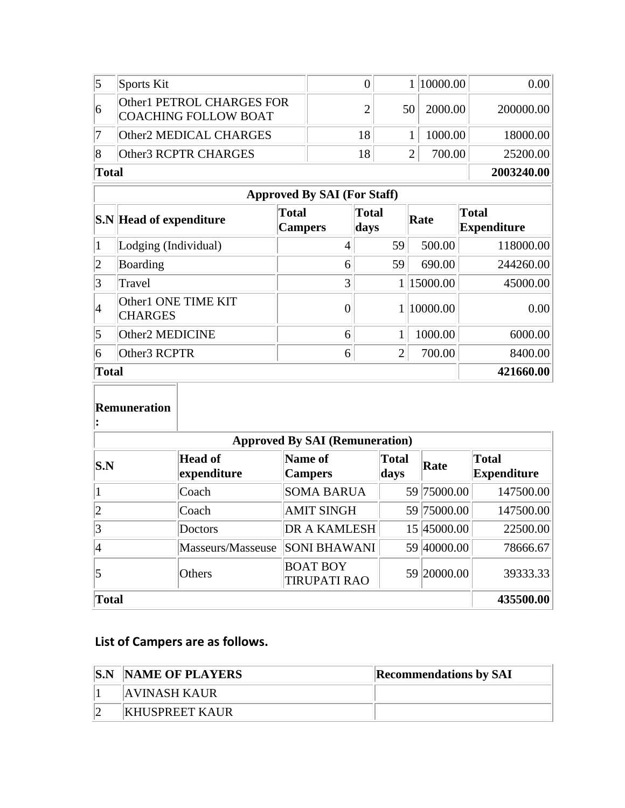|       | Sports Kit                                        |    |       | 1   10000.00 | 0.00 <sub>l</sub> |
|-------|---------------------------------------------------|----|-------|--------------|-------------------|
| 16    | Other1 PETROL CHARGES FOR<br>COACHING FOLLOW BOAT |    | .50 l | 2000.00      | 200000.00         |
|       | Other2 MEDICAL CHARGES                            | 18 |       | 1000.00      | 18000.00          |
|       | Other3 RCPTR CHARGES                              | 18 |       | 700.00       | 25200.00          |
| Total |                                                   |    |       |              | 2003240.00        |

|                | <b>Approved By SAI (For Staff)</b>    |                                |                |          |                                    |  |  |
|----------------|---------------------------------------|--------------------------------|----------------|----------|------------------------------------|--|--|
|                | <b>S.N</b> Head of expenditure        | <b>Total</b><br><b>Campers</b> | Total<br>days  | Rate     | <b>Total</b><br><b>Expenditure</b> |  |  |
| $\vert$ 1      | Lodging (Individual)                  | 4                              | 59             | 500.00   | 118000.00                          |  |  |
| $ 2\rangle$    | Boarding                              | 6                              | 59             | 690.00   | 244260.00                          |  |  |
| 3              | Travel                                | 3                              |                | 15000.00 | 45000.00                           |  |  |
| $\vert_4$      | Other1 ONE TIME KIT<br><b>CHARGES</b> |                                |                | 10000.00 | 0.00                               |  |  |
| $\vert$ 5      | Other2 MEDICINE                       | 6                              |                | 1000.00  | 6000.00                            |  |  |
| $\overline{6}$ | Other3 RCPTR                          | 6                              | $\overline{2}$ | 700.00   | 8400.00                            |  |  |
| Total          |                                       | 421660.00                      |                |          |                                    |  |  |

### **Remuneration :**

| <b>Approved By SAI (Remuneration)</b> |                               |                                        |                      |             |                             |
|---------------------------------------|-------------------------------|----------------------------------------|----------------------|-------------|-----------------------------|
| S.N                                   | <b>Head of</b><br>expenditure | Name of<br><b>Campers</b>              | <b>Total</b><br>days | Rate        | Total<br><b>Expenditure</b> |
|                                       | Coach                         | <b>SOMA BARUA</b>                      |                      | 59 75000.00 | 147500.00                   |
| $ 2\rangle$                           | Coach                         | <b>AMIT SINGH</b>                      |                      | 59 75000.00 | 147500.00                   |
| 3                                     | Doctors                       | <b>DR A KAMLESH</b>                    |                      | 15 45000.00 | 22500.00                    |
| 14                                    | Masseurs/Masseuse             | <b>SONI BHAWANI</b>                    |                      | 59 40000.00 | 78666.67                    |
| 5                                     | Others                        | <b>BOAT BOY</b><br><b>TIRUPATI RAO</b> |                      | 59 20000.00 | 39333.33                    |
| Total                                 |                               |                                        |                      |             | 435500.00                   |

# **List of Campers are as follows.**

| S.N | <b>NAME OF PLAYERS</b> | <b>Recommendations by SAI</b> |
|-----|------------------------|-------------------------------|
|     | AVINASH KAUR           |                               |
|     | <b>KHUSPREET KAUR</b>  |                               |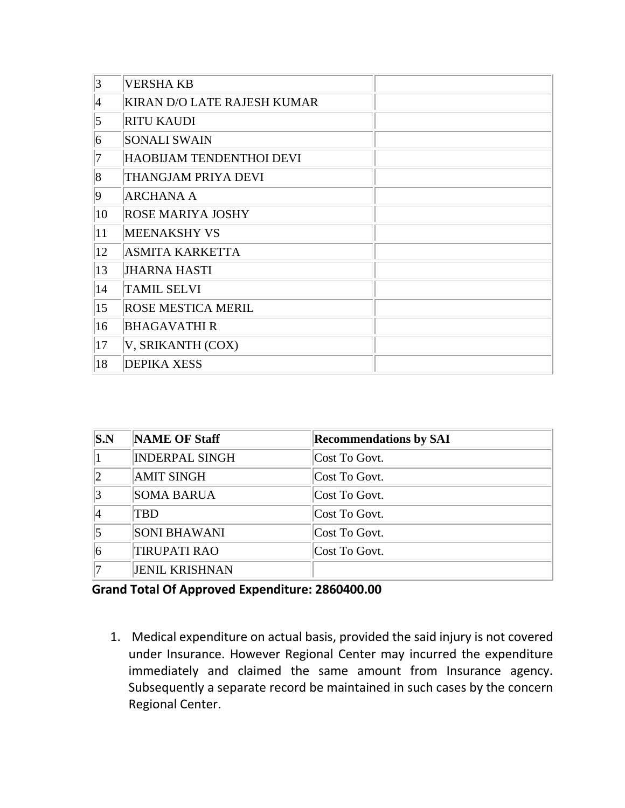| 3               | <b>VERSHA KB</b>            |  |
|-----------------|-----------------------------|--|
| $\vert 4 \vert$ | KIRAN D/O LATE RAJESH KUMAR |  |
| $\vert 5 \vert$ | <b>RITU KAUDI</b>           |  |
| $\overline{6}$  | <b>SONALI SWAIN</b>         |  |
| 7               | HAOBIJAM TENDENTHOI DEVI    |  |
| $\vert 8 \vert$ | THANGJAM PRIYA DEVI         |  |
| $\overline{9}$  | <b>ARCHANA A</b>            |  |
| 10              | <b>ROSE MARIYA JOSHY</b>    |  |
| 11              | <b>MEENAKSHY VS</b>         |  |
| 12              | <b>ASMITA KARKETTA</b>      |  |
| 13              | <b>JHARNA HASTI</b>         |  |
| 14              | <b>TAMIL SELVI</b>          |  |
| 15              | <b>ROSE MESTICA MERIL</b>   |  |
| 16              | <b>BHAGAVATHIR</b>          |  |
| 17              | V, SRIKANTH (COX)           |  |
| 18              | <b>DEPIKA XESS</b>          |  |

| S.N            | <b>NAME OF Staff</b>  | <b>Recommendations by SAI</b> |
|----------------|-----------------------|-------------------------------|
|                | <b>INDERPAL SINGH</b> | Cost To Govt.                 |
| $ 2\rangle$    | <b>AMIT SINGH</b>     | Cost To Govt.                 |
| 3              | <b>SOMA BARUA</b>     | Cost To Govt.                 |
| 4              | TBD                   | Cost To Govt.                 |
| $\overline{5}$ | SONI BHAWANI          | Cost To Govt.                 |
| 6              | <b>TIRUPATI RAO</b>   | Cost To Govt.                 |
| 17             | <b>JENIL KRISHNAN</b> |                               |

# **Grand Total Of Approved Expenditure: 2860400.00**

1. Medical expenditure on actual basis, provided the said injury is not covered under Insurance. However Regional Center may incurred the expenditure immediately and claimed the same amount from Insurance agency. Subsequently a separate record be maintained in such cases by the concern Regional Center.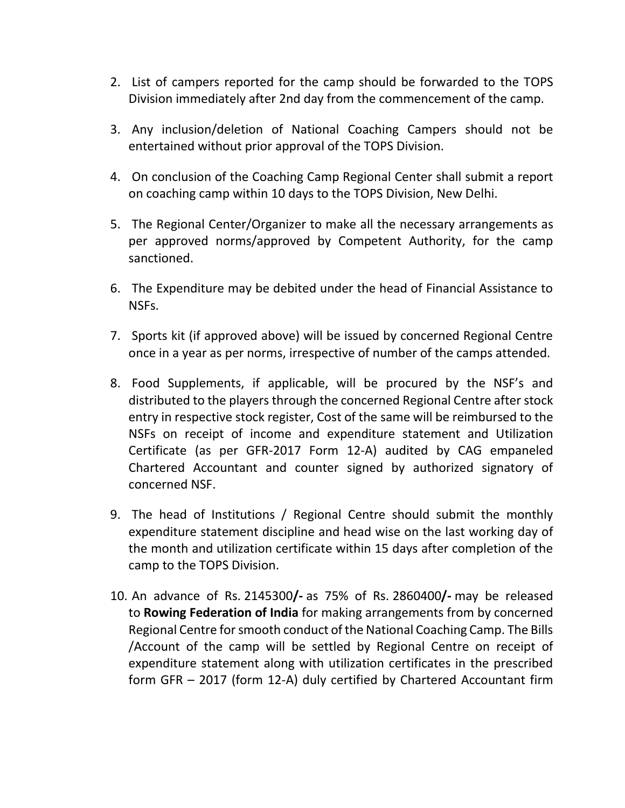- 2. List of campers reported for the camp should be forwarded to the TOPS Division immediately after 2nd day from the commencement of the camp.
- 3. Any inclusion/deletion of National Coaching Campers should not be entertained without prior approval of the TOPS Division.
- 4. On conclusion of the Coaching Camp Regional Center shall submit a report on coaching camp within 10 days to the TOPS Division, New Delhi.
- 5. The Regional Center/Organizer to make all the necessary arrangements as per approved norms/approved by Competent Authority, for the camp sanctioned.
- 6. The Expenditure may be debited under the head of Financial Assistance to NSFs.
- 7. Sports kit (if approved above) will be issued by concerned Regional Centre once in a year as per norms, irrespective of number of the camps attended.
- 8. Food Supplements, if applicable, will be procured by the NSF's and distributed to the players through the concerned Regional Centre after stock entry in respective stock register, Cost of the same will be reimbursed to the NSFs on receipt of income and expenditure statement and Utilization Certificate (as per GFR-2017 Form 12-A) audited by CAG empaneled Chartered Accountant and counter signed by authorized signatory of concerned NSF.
- 9. The head of Institutions / Regional Centre should submit the monthly expenditure statement discipline and head wise on the last working day of the month and utilization certificate within 15 days after completion of the camp to the TOPS Division.
- 10. An advance of Rs. 2145300**/-** as 75% of Rs. 2860400**/-** may be released to **Rowing Federation of India** for making arrangements from by concerned Regional Centre for smooth conduct of the National Coaching Camp. The Bills /Account of the camp will be settled by Regional Centre on receipt of expenditure statement along with utilization certificates in the prescribed form GFR – 2017 (form 12-A) duly certified by Chartered Accountant firm